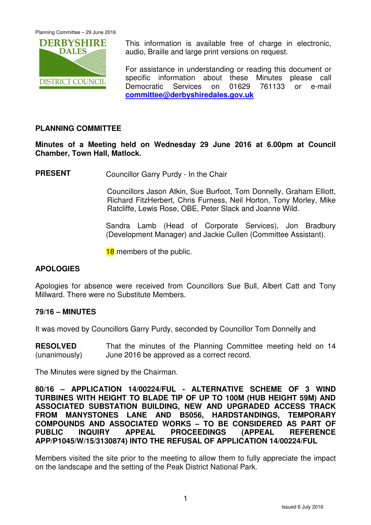

This information is available free of charge in electronic, audio, Braille and large print versions on request.

For assistance in understanding or reading this document or specific information about these Minutes please call Democratic Services on 01629 761133 or e-mail **committee@derbyshiredales.gov.uk**

# **PLANNING COMMITTEE**

**Minutes of a Meeting held on Wednesday 29 June 2016 at 6.00pm at Council Chamber, Town Hall, Matlock.** 

**PRESENT** Councillor Garry Purdy - In the Chair

 Councillors Jason Atkin, Sue Burfoot, Tom Donnelly, Graham Elliott, Richard FitzHerbert, Chris Furness, Neil Horton, Tony Morley, Mike Ratcliffe, Lewis Rose, OBE, Peter Slack and Joanne Wild.

Sandra Lamb (Head of Corporate Services), Jon Bradbury (Development Manager) and Jackie Cullen (Committee Assistant).

18 members of the public.

# **APOLOGIES**

Apologies for absence were received from Councillors Sue Bull, Albert Catt and Tony Millward. There were no Substitute Members.

#### **79/16 – MINUTES**

It was moved by Councillors Garry Purdy, seconded by Councillor Tom Donnelly and

**RESOLVED** (unanimously) That the minutes of the Planning Committee meeting held on 14 June 2016 be approved as a correct record.

The Minutes were signed by the Chairman.

**80/16 – APPLICATION 14/00224/FUL - ALTERNATIVE SCHEME OF 3 WIND TURBINES WITH HEIGHT TO BLADE TIP OF UP TO 100M (HUB HEIGHT 59M) AND ASSOCIATED SUBSTATION BUILDING, NEW AND UPGRADED ACCESS TRACK FROM MANYSTONES LANE AND B5056, HARDSTANDINGS, TEMPORARY COMPOUNDS AND ASSOCIATED WORKS – TO BE CONSIDERED AS PART OF PUBLIC INQUIRY APPEAL PROCEEDINGS (APPEAL REFERENCE APP/P1045/W/15/3130874) INTO THE REFUSAL OF APPLICATION 14/00224/FUL** 

Members visited the site prior to the meeting to allow them to fully appreciate the impact on the landscape and the setting of the Peak District National Park.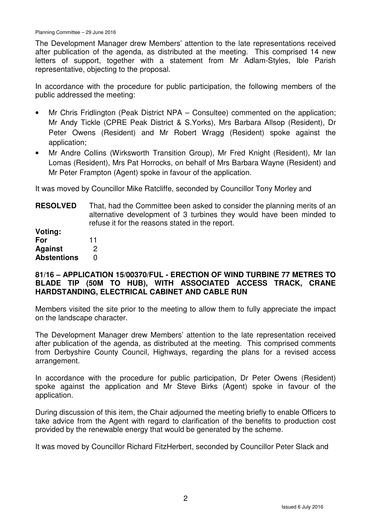The Development Manager drew Members' attention to the late representations received after publication of the agenda, as distributed at the meeting. This comprised 14 new letters of support, together with a statement from Mr Adlam-Styles, Ible Parish representative, objecting to the proposal.

In accordance with the procedure for public participation, the following members of the public addressed the meeting:

- Mr Chris Fridlington (Peak District NPA Consultee) commented on the application; Mr Andy Tickle (CPRE Peak District & S.Yorks), Mrs Barbara Allsop (Resident), Dr Peter Owens (Resident) and Mr Robert Wragg (Resident) spoke against the application;
- Mr Andre Collins (Wirksworth Transition Group), Mr Fred Knight (Resident), Mr Ian Lomas (Resident), Mrs Pat Horrocks, on behalf of Mrs Barbara Wayne (Resident) and Mr Peter Frampton (Agent) spoke in favour of the application.

It was moved by Councillor Mike Ratcliffe, seconded by Councillor Tony Morley and

**RESOLVED** That, had the Committee been asked to consider the planning merits of an alternative development of 3 turbines they would have been minded to refuse it for the reasons stated in the report.

| Voting:            |    |
|--------------------|----|
| For                | 11 |
| <b>Against</b>     | 2  |
| <b>Abstentions</b> | O  |

## **81/16 – APPLICATION 15/00370/FUL - ERECTION OF WIND TURBINE 77 METRES TO BLADE TIP (50M TO HUB), WITH ASSOCIATED ACCESS TRACK, CRANE HARDSTANDING, ELECTRICAL CABINET AND CABLE RUN**

Members visited the site prior to the meeting to allow them to fully appreciate the impact on the landscape character.

The Development Manager drew Members' attention to the late representation received after publication of the agenda, as distributed at the meeting. This comprised comments from Derbyshire County Council, Highways, regarding the plans for a revised access arrangement.

In accordance with the procedure for public participation, Dr Peter Owens (Resident) spoke against the application and Mr Steve Birks (Agent) spoke in favour of the application.

During discussion of this item, the Chair adjourned the meeting briefly to enable Officers to take advice from the Agent with regard to clarification of the benefits to production cost provided by the renewable energy that would be generated by the scheme.

It was moved by Councillor Richard FitzHerbert, seconded by Councillor Peter Slack and